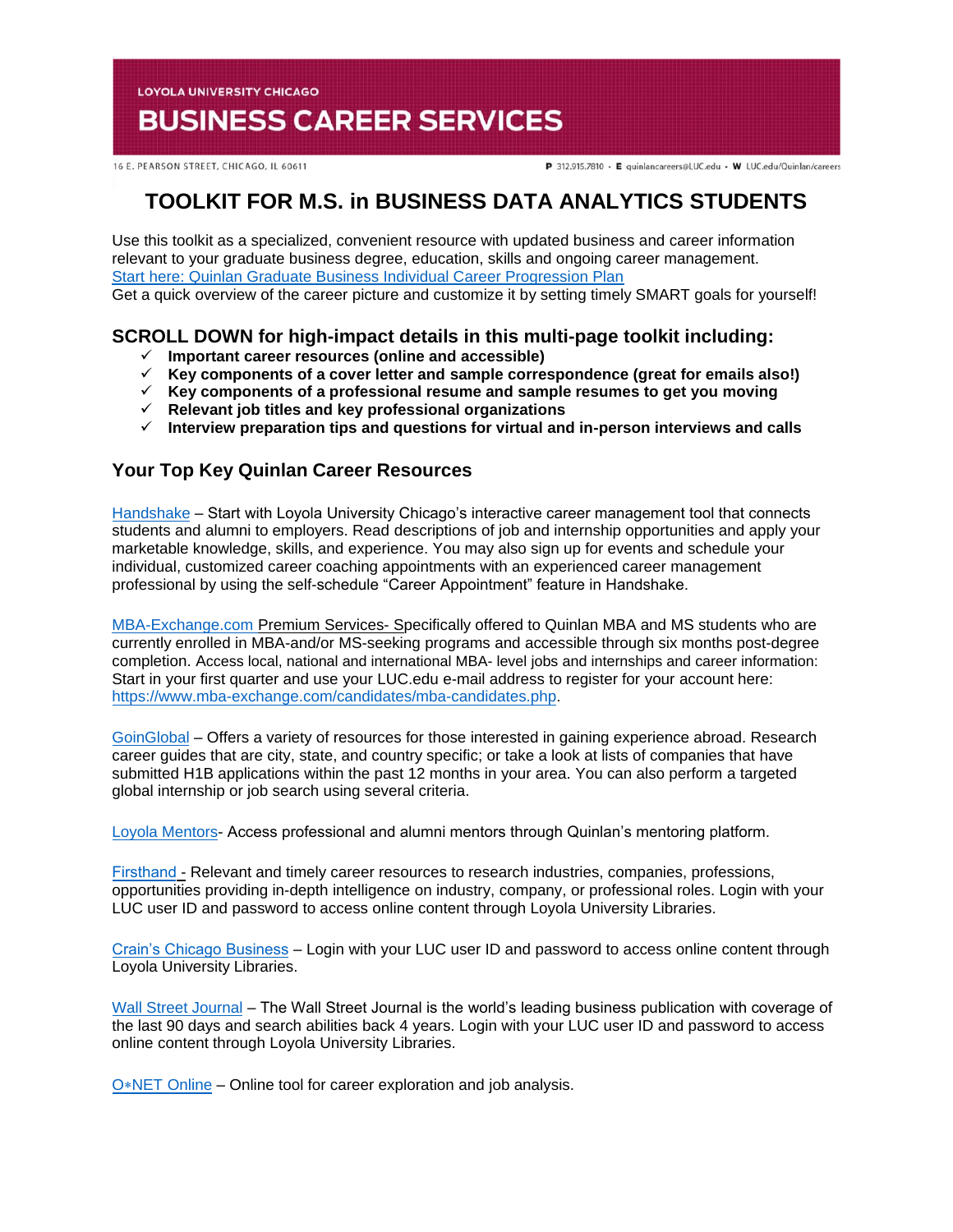**LOYOLA UNIVERSITY CHICAGO** 

# **BUSINESS CAREER SERVICES**

16 E. PEARSON STREET, CHICAGO, IL 60611

P 312.915.7810 · E quinlancareers@LUC.edu · W LUC.edu/Quinlan/careers

## **TOOLKIT FOR M.S. in BUSINESS DATA ANALYTICS STUDENTS**

Use this toolkit as a specialized, convenient resource with updated business and career information relevant to your graduate business degree, education, skills and ongoing career management. [Start here: Quinlan Graduate Business Individual Career Progression Plan](https://www.luc.edu/media/lucedu/quinlan-businesscareerservices/pdfs/2020%20Quinlan%20Graduate%20Business%20Individual%20Career%20Progression%20Plan.pdf)  Get a quick overview of the career picture and customize it by setting timely SMART goals for yourself!

## **SCROLL DOWN for high-impact details in this multi-page toolkit including:**

- **Important career resources (online and accessible)**
- **Key components of a cover letter and sample correspondence (great for emails also!)**
- **Key components of a professional resume and sample resumes to get you moving**
- **Relevant job titles and key professional organizations**
- **Interview preparation tips and questions for virtual and in-person interviews and calls**

## **Your Top Key Quinlan Career Resources**

[Handshake](https://luc.joinhandshake.com/login) – Start with Loyola University Chicago's interactive career management tool that connects students and alumni to employers. Read descriptions of job and internship opportunities and apply your marketable knowledge, skills, and experience. You may also sign up for events and schedule your individual, customized career coaching appointments with an experienced career management professional by using the self-schedule "Career Appointment" feature in Handshake.

[MBA-Exchange.com P](https://www.luc.edu/quinlan/careers/studentservices/job-search/)remium Services- Specifically offered to Quinlan MBA and MS students who are currently enrolled in MBA-and/or MS-seeking programs and accessible through six months post-degree completion. Access local, national and international MBA- level jobs and internships and career information: Start in your first quarter and use your LUC.edu e-mail address to register for your account here: [https://www.mba-exchange.com/candidates/mba-candidates.php.](http://email.mail.joinhandshake.com/c/eJxFkN1uhCAQhZ9G75YgIOIFFzaNL9AHMAjTlV1-jGDs4xfttk3mZr6Tc2ZyjBRCz6K2kmCCMSe84W3bYNSgQQyUF4C7caBvTVcx7JV16BFtWFQwaVFPQDr6epGfDCgHMxPWEo2V6ATue2hAi45RwVnt5JLzmio6VGQscxwH8rO6wZcuWfcrp2Bdcq1RGVJZTv0foHVZKzq6uFX0nVWE79lPKe6bhgK8Smk634PtJXkwdvdFghO_oI4hQ8iFcix69hujlV-VvYfC92CnrLY7ZDDTZU31Jh8JnEulAbdrBGavs-wZvn3oJUZX_7UxXW9crska-XPjGw06c3I?lor=5&utm_source=mass_mailer&utm_medium=email&utm_content=608944&utm_campaign=uni_targeted_emails) 

[GoinGlobal](https://online.goinglobal.com/) – Offers a variety of resources for those interested in gaining experience abroad. Research career guides that are city, state, and country specific; or take a look at lists of companies that have submitted H1B applications within the past 12 months in your area. You can also perform a targeted global internship or job search using several criteria.

[Loyola Mentors-](https://mentors.luc.edu/) Access professional and alumni mentors through Quinlan's mentoring platform.

[Firsthand](https://login.flagship.luc.edu/login?qurl=https%3a%2f%2faccess.vault.com%2fcareer-insider-login.aspx%3faid%3d256866) - Relevant and timely career resources to research industries, companies, professions, opportunities providing in-depth intelligence on industry, company, or professional roles. Login with your LUC user ID and password to access online content through Loyola University Libraries.

[Crain's Chicago Business](https://loyola-primo.hosted.exlibrisgroup.com/primo-explore/fulldisplay?docid=01LUC_ALMA2180212020002506&vid=01LUC&search_scope=Library_Collections&tab=jsearch_slot&lang=en_US&context=L) – Login with your LUC user ID and password to access online content through Loyola University Libraries.

[Wall Street Journal](http://libraries.luc.edu/databases/database/858) – The Wall Street Journal is the world's leading business publication with coverage of the last 90 days and search abilities back 4 years. Login with your LUC user ID and password to access online content through Loyola University Libraries.

 $O*NET$  Online – Online tool for career exploration and job analysis.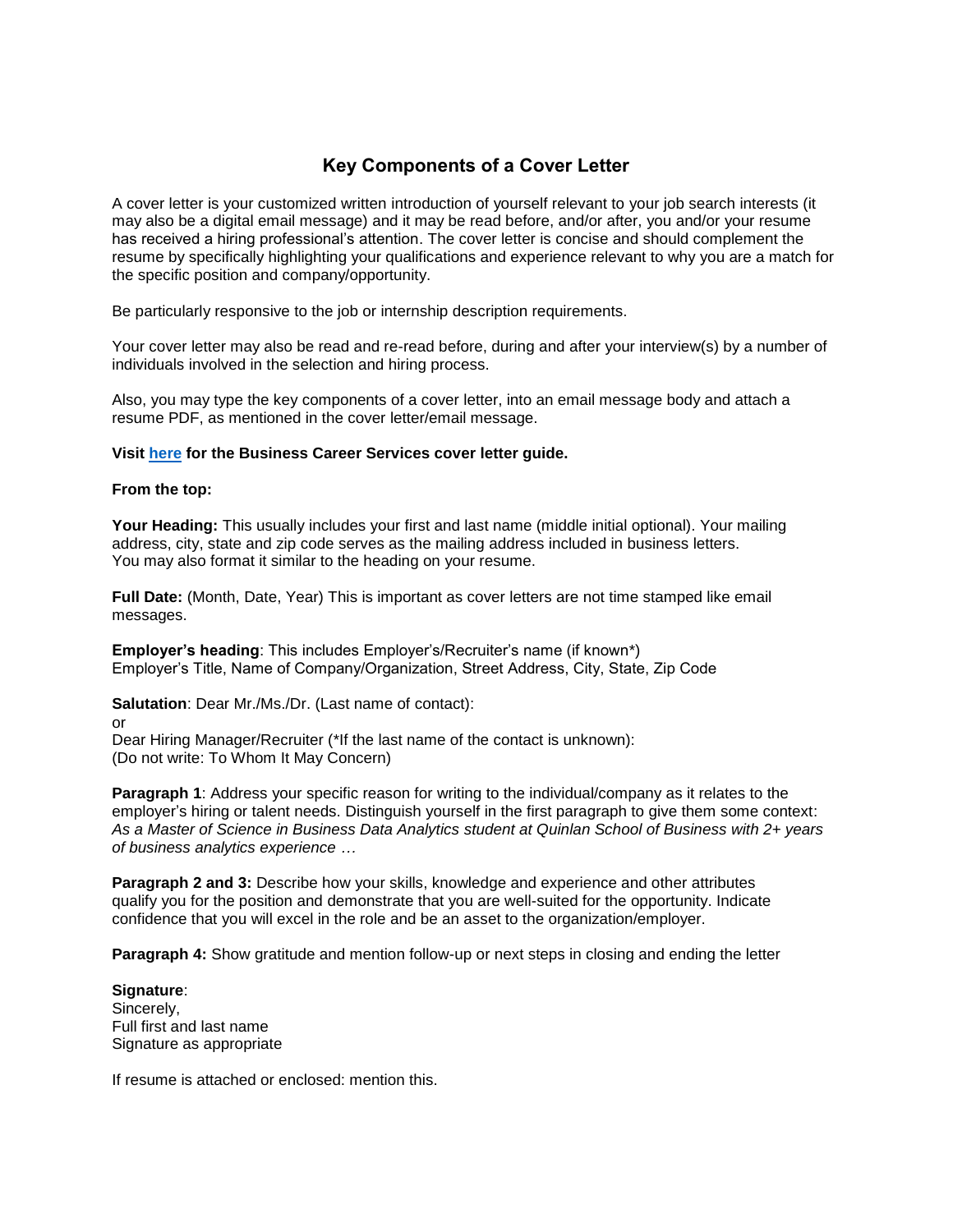## **Key Components of a Cover Letter**

A cover letter is your customized written introduction of yourself relevant to your job search interests (it may also be a digital email message) and it may be read before, and/or after, you and/or your resume has received a hiring professional's attention. The cover letter is concise and should complement the resume by specifically highlighting your qualifications and experience relevant to why you are a match for the specific position and company/opportunity.

Be particularly responsive to the job or internship description requirements.

Your cover letter may also be read and re-read before, during and after your interview(s) by a number of individuals involved in the selection and hiring process.

Also, you may type the key components of a cover letter, into an email message body and attach a resume PDF, as mentioned in the cover letter/email message.

#### **Visit [here](https://www.luc.edu/media/lucedu/quinlan-businesscareerservices/Cover%20Letter%20Guidelines.pdf) for the Business Career Services cover letter guide.**

#### **From the top:**

**Your Heading:** This usually includes your first and last name (middle initial optional). Your mailing address, city, state and zip code serves as the mailing address included in business letters. You may also format it similar to the heading on your resume.

**Full Date:** (Month, Date, Year) This is important as cover letters are not time stamped like email messages.

**Employer's heading**: This includes Employer's/Recruiter's name (if known\*) Employer's Title, Name of Company/Organization, Street Address, City, State, Zip Code

**Salutation**: Dear Mr./Ms./Dr. (Last name of contact):

or

Dear Hiring Manager/Recruiter (\*If the last name of the contact is unknown): (Do not write: To Whom It May Concern)

**Paragraph 1:** Address your specific reason for writing to the individual/company as it relates to the employer's hiring or talent needs. Distinguish yourself in the first paragraph to give them some context: *As a Master of Science in Business Data Analytics student at Quinlan School of Business with 2+ years of business analytics experience …*

**Paragraph 2 and 3: Describe how your skills, knowledge and experience and other attributes** qualify you for the position and demonstrate that you are well-suited for the opportunity. Indicate confidence that you will excel in the role and be an asset to the organization/employer.

**Paragraph 4:** Show gratitude and mention follow-up or next steps in closing and ending the letter

**Signature**: Sincerely, Full first and last name Signature as appropriate

If resume is attached or enclosed: mention this.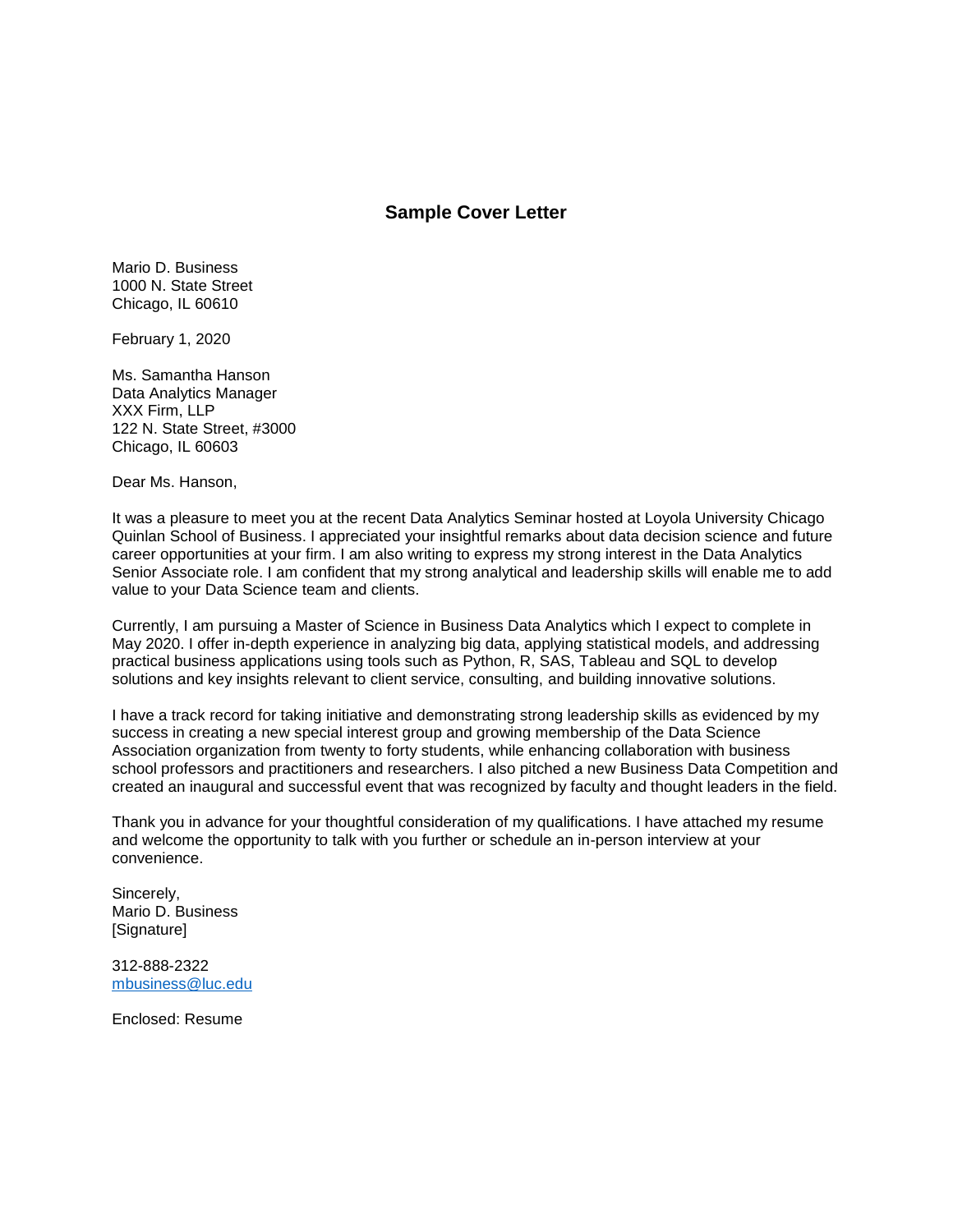#### **Sample Cover Letter**

Mario D. Business 1000 N. State Street Chicago, IL 60610

February 1, 2020

Ms. Samantha Hanson Data Analytics Manager XXX Firm, LLP 122 N. State Street, #3000 Chicago, IL 60603

Dear Ms. Hanson,

It was a pleasure to meet you at the recent Data Analytics Seminar hosted at Loyola University Chicago Quinlan School of Business. I appreciated your insightful remarks about data decision science and future career opportunities at your firm. I am also writing to express my strong interest in the Data Analytics Senior Associate role. I am confident that my strong analytical and leadership skills will enable me to add value to your Data Science team and clients.

Currently, I am pursuing a Master of Science in Business Data Analytics which I expect to complete in May 2020. I offer in-depth experience in analyzing big data, applying statistical models, and addressing practical business applications using tools such as Python, R, SAS, Tableau and SQL to develop solutions and key insights relevant to client service, consulting, and building innovative solutions.

I have a track record for taking initiative and demonstrating strong leadership skills as evidenced by my success in creating a new special interest group and growing membership of the Data Science Association organization from twenty to forty students, while enhancing collaboration with business school professors and practitioners and researchers. I also pitched a new Business Data Competition and created an inaugural and successful event that was recognized by faculty and thought leaders in the field.

Thank you in advance for your thoughtful consideration of my qualifications. I have attached my resume and welcome the opportunity to talk with you further or schedule an in-person interview at your convenience.

Sincerely, Mario D. Business [Signature]

312-888-2322 [mbusiness@luc.edu](mailto:mbusiness@luc.edu)

Enclosed: Resume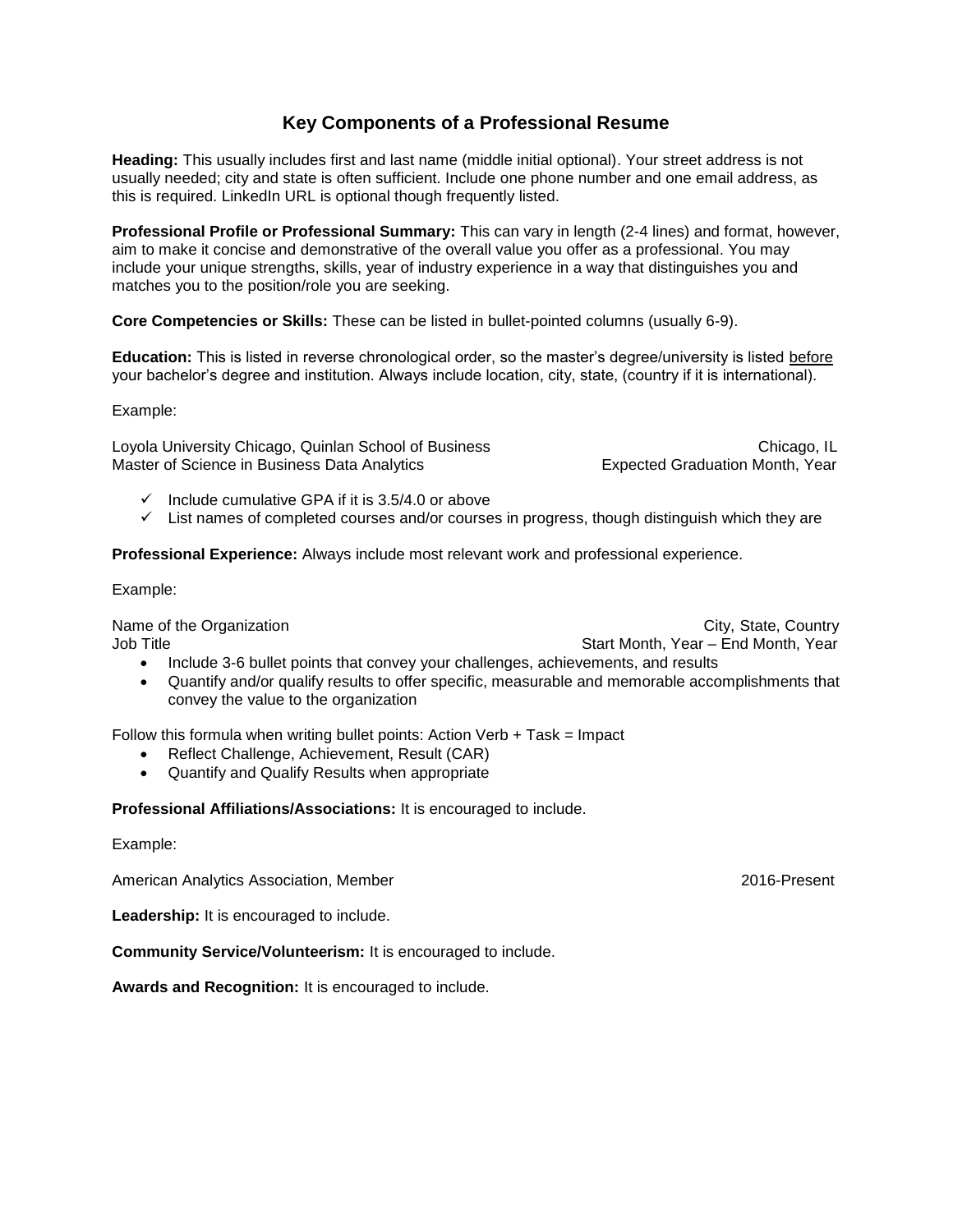## **Key Components of a Professional Resume**

**Heading:** This usually includes first and last name (middle initial optional). Your street address is not usually needed; city and state is often sufficient. Include one phone number and one email address, as this is required. LinkedIn URL is optional though frequently listed.

**Professional Profile or Professional Summary:** This can vary in length (2-4 lines) and format, however, aim to make it concise and demonstrative of the overall value you offer as a professional. You may include your unique strengths, skills, year of industry experience in a way that distinguishes you and matches you to the position/role you are seeking.

**Core Competencies or Skills:** These can be listed in bullet-pointed columns (usually 6-9).

**Education:** This is listed in reverse chronological order, so the master's degree/university is listed before your bachelor's degree and institution. Always include location, city, state, (country if it is international).

Example:

Loyola University Chicago, Quinlan School of Business Chicago, IL Chicago, IL Master of Science in Business Data Analytics **Expected Graduation Month, Year** 

- $\checkmark$  Include cumulative GPA if it is 3.5/4.0 or above
- $\checkmark$  List names of completed courses and/or courses in progress, though distinguish which they are

**Professional Experience:** Always include most relevant work and professional experience.

Example:

Name of the Organization **City** State, Country City, State, Country Job Title Start Month, Year – End Month, Year – End Month, Year – End Month, Year

- Include 3-6 bullet points that convey your challenges, achievements, and results
- Quantify and/or qualify results to offer specific, measurable and memorable accomplishments that convey the value to the organization

Follow this formula when writing bullet points: Action Verb  $+$  Task = Impact

- Reflect Challenge, Achievement, Result (CAR)
- Quantify and Qualify Results when appropriate

**Professional Affiliations/Associations:** It is encouraged to include.

Example:

American Analytics Association, Member 2016-Present

**Leadership:** It is encouraged to include.

**Community Service/Volunteerism:** It is encouraged to include.

**Awards and Recognition:** It is encouraged to include.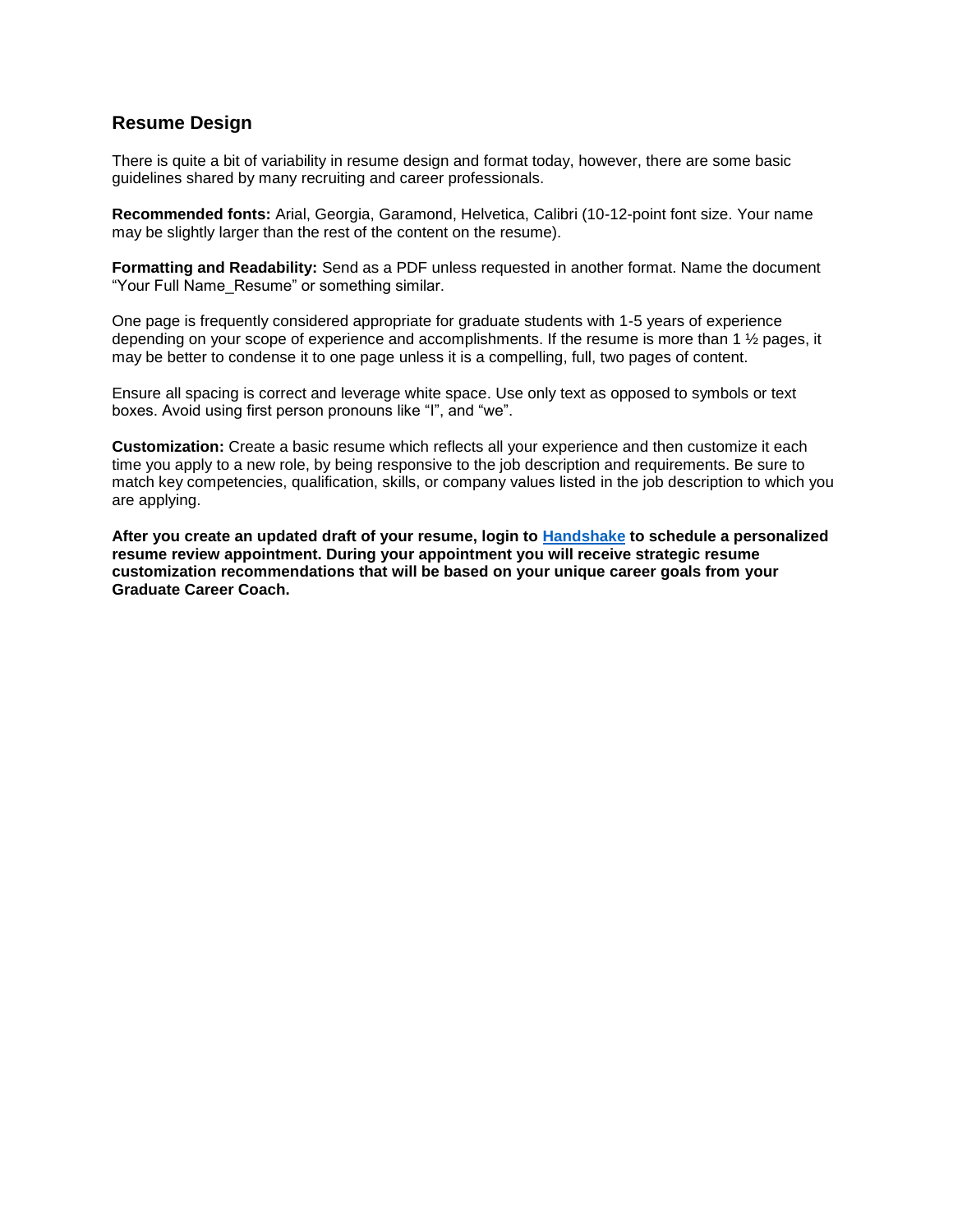### **Resume Design**

There is quite a bit of variability in resume design and format today, however, there are some basic guidelines shared by many recruiting and career professionals.

**Recommended fonts:** Arial, Georgia, Garamond, Helvetica, Calibri (10-12-point font size. Your name may be slightly larger than the rest of the content on the resume).

**Formatting and Readability:** Send as a PDF unless requested in another format. Name the document "Your Full Name\_Resume" or something similar.

One page is frequently considered appropriate for graduate students with 1-5 years of experience depending on your scope of experience and accomplishments. If the resume is more than 1 ½ pages, it may be better to condense it to one page unless it is a compelling, full, two pages of content.

Ensure all spacing is correct and leverage white space. Use only text as opposed to symbols or text boxes. Avoid using first person pronouns like "I", and "we".

**Customization:** Create a basic resume which reflects all your experience and then customize it each time you apply to a new role, by being responsive to the job description and requirements. Be sure to match key competencies, qualification, skills, or company values listed in the job description to which you are applying.

**After you create an updated draft of your resume, login to [Handshake](https://luc.joinhandshake.com/) to schedule a personalized resume review appointment. During your appointment you will receive strategic resume customization recommendations that will be based on your unique career goals from your Graduate Career Coach.**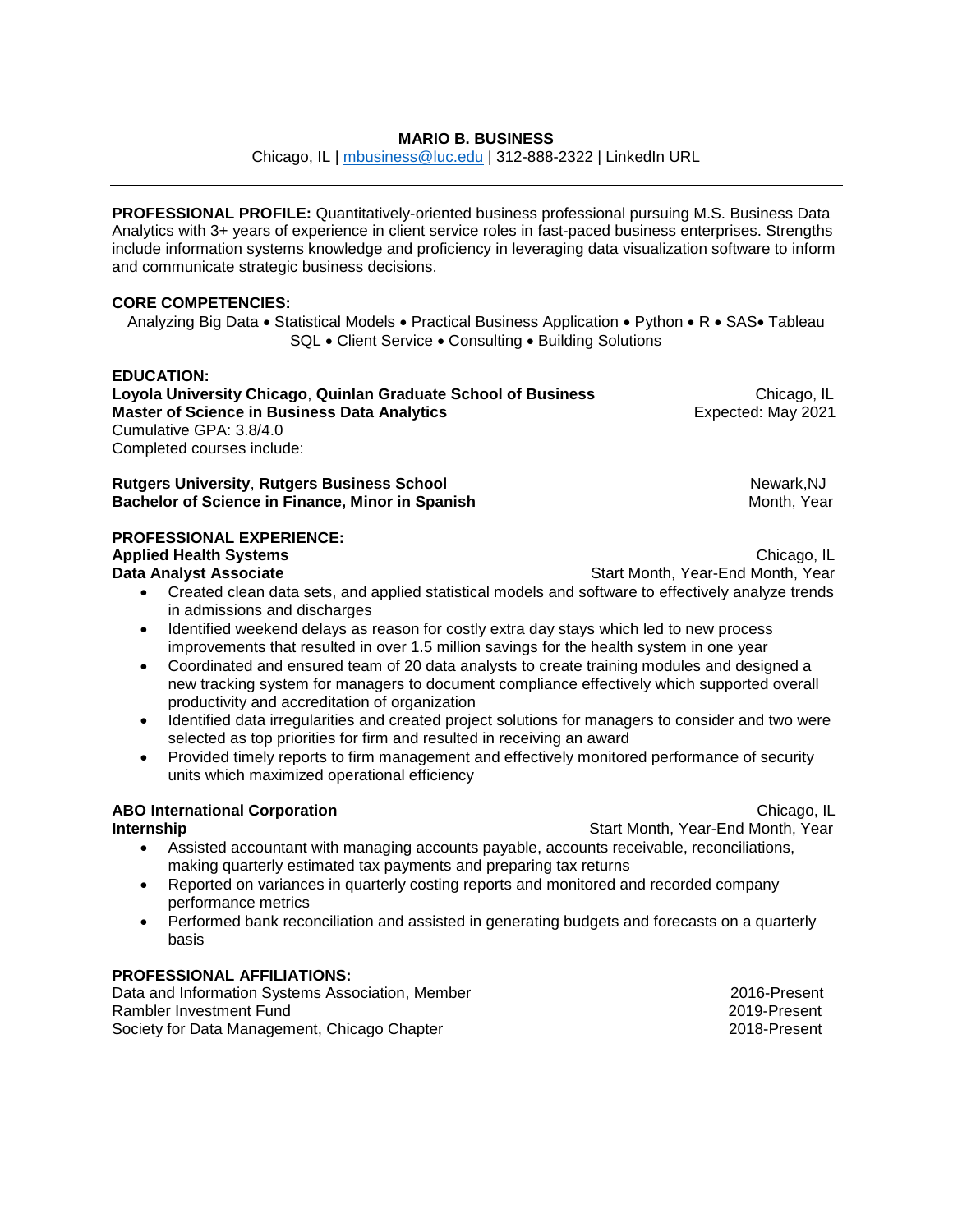#### **MARIO B. BUSINESS**

Chicago, IL | [mbusiness@luc.edu](mailto:mbusiness@luc.edu) | 312-888-2322 | LinkedIn URL

**PROFESSIONAL PROFILE:** Quantitatively-oriented business professional pursuing M.S. Business Data Analytics with 3+ years of experience in client service roles in fast-paced business enterprises. Strengths include information systems knowledge and proficiency in leveraging data visualization software to inform and communicate strategic business decisions.

#### **CORE COMPETENCIES:**

Analyzing Big Data • Statistical Models • Practical Business Application • Python • R • SAS• Tableau SQL • Client Service • Consulting • Building Solutions

#### **EDUCATION:**

**Loyola University Chicago, Quinlan Graduate School of Business Chicago, IL Chicago, IL Master of Science in Business Data Analytics <br>
Expected: May 2021** Cumulative GPA: 3.8/4.0 Completed courses include:

**Rutgers University, Rutgers Business School** Newark, NJ **Bachelor of Science in Finance, Minor in Spanish Month American Control Month, Year Month, Year Month, Year Month** 

#### **PROFESSIONAL EXPERIENCE:**

#### **Applied Health Systems Chicago, IL Applied Health Systems**

**Data Analyst Associate <b>Start Analyst Associate Start Month, Year-End Month, Year** 

- Created clean data sets, and applied statistical models and software to effectively analyze trends in admissions and discharges
- Identified weekend delays as reason for costly extra day stays which led to new process improvements that resulted in over 1.5 million savings for the health system in one year
- Coordinated and ensured team of 20 data analysts to create training modules and designed a new tracking system for managers to document compliance effectively which supported overall productivity and accreditation of organization
- Identified data irregularities and created project solutions for managers to consider and two were selected as top priorities for firm and resulted in receiving an award
- Provided timely reports to firm management and effectively monitored performance of security units which maximized operational efficiency

#### **ABO International Corporation** Chicago, IL

**Internship Internship Internship Start Month, Year-End Month, Year-**

- Assisted accountant with managing accounts payable, accounts receivable, reconciliations, making quarterly estimated tax payments and preparing tax returns
- Reported on variances in quarterly costing reports and monitored and recorded company performance metrics
- Performed bank reconciliation and assisted in generating budgets and forecasts on a quarterly basis

#### **PROFESSIONAL AFFILIATIONS:**

Data and Information Systems Association, Member 2016-1001 2016-Present Rambler Investment Fund 2019-Present Society for Data Management, Chicago Chapter 2018-70 2018-Present